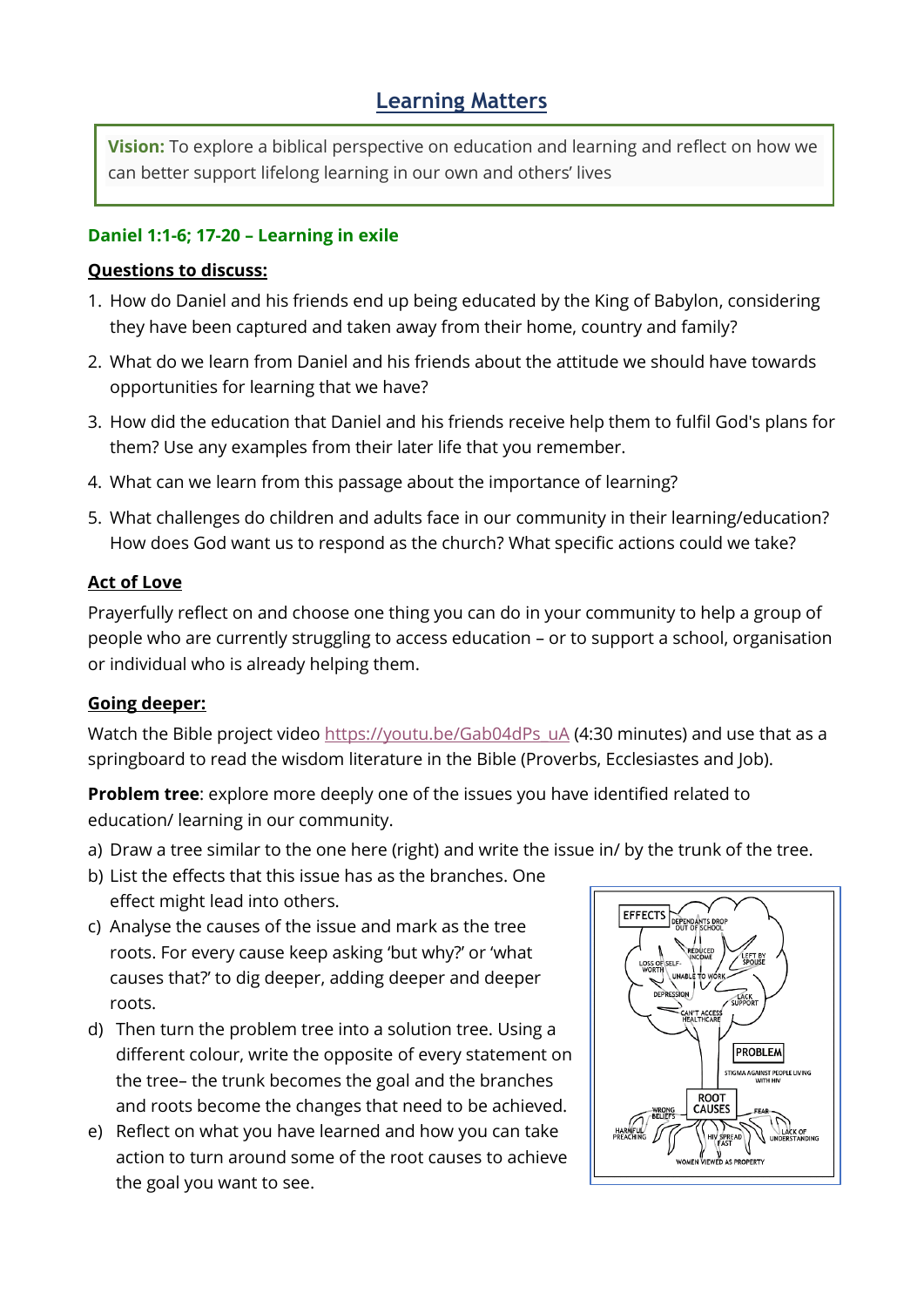# **Learning Matters**

**Vision:** To explore a biblical perspective on education and learning and reflect on how we can better support lifelong learning in our own and others' lives

#### **Daniel 1:1-6; 17-20 – Learning in exile**

### **Questions to discuss:**

- 1. How do Daniel and his friends end up being educated by the King of Babylon, considering they have been captured and taken away from their home, country and family?
- 2. What do we learn from Daniel and his friends about the attitude we should have towards opportunities for learning that we have?
- 3. How did the education that Daniel and his friends receive help them to fulfil God's plans for them? Use any examples from their later life that you remember.
- 4. What can we learn from this passage about the importance of learning?
- 5. What challenges do children and adults face in our community in their learning/education? How does God want us to respond as the church? What specific actions could we take?

## **Act of Love**

Prayerfully reflect on and choose one thing you can do in your community to help a group of people who are currently struggling to access education – or to support a school, organisation or individual who is already helping them.

# **Going deeper:**

Watch the Bible project video [https://youtu.be/Gab04dPs\\_uA](https://youtu.be/Gab04dPs_uA) (4:30 minutes) and use that as a springboard to read the wisdom literature in the Bible (Proverbs, Ecclesiastes and Job).

**Problem tree**: explore more deeply one of the issues you have identified related to education/ learning in our community.

- a) Draw a tree similar to the one here (right) and write the issue in/ by the trunk of the tree.
- b) List the effects that this issue has as the branches. One effect might lead into others.
- c) Analyse the causes of the issue and mark as the tree roots. For every cause keep asking 'but why?' or 'what causes that?' to dig deeper, adding deeper and deeper roots.
- d) Then turn the problem tree into a solution tree. Using a different colour, write the opposite of every statement on the tree– the trunk becomes the goal and the branches and roots become the changes that need to be achieved.
- e) Reflect on what you have learned and how you can take action to turn around some of the root causes to achieve the goal you want to see.